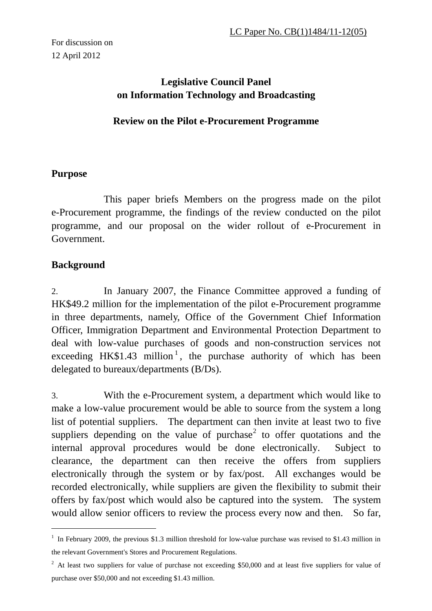# **Legislative Council Panel on Information Technology and Broadcasting**

### **Review on the Pilot e-Procurement Programme**

### **Purpose**

 This paper briefs Members on the progress made on the pilot e-Procurement programme, the findings of the review conducted on the pilot programme, and our proposal on the wider rollout of e-Procurement in Government.

## **Background**

 $\overline{a}$ 

2. In January 2007, the Finance Committee approved a funding of HK\$49.2 million for the implementation of the pilot e-Procurement programme in three departments, namely, Office of the Government Chief Information Officer, Immigration Department and Environmental Protection Department to deal with low-value purchases of goods and non-construction services not exceeding HK\$1.43 million<sup>1</sup>, the purchase authority of which has been delegated to bureaux/departments (B/Ds).

3. With the e-Procurement system, a department which would like to make a low-value procurement would be able to source from the system a long list of potential suppliers. The department can then invite at least two to five suppliers depending on the value of purchase<sup>2</sup> to offer quotations and the internal approval procedures would be done electronically. Subject to clearance, the department can then receive the offers from suppliers electronically through the system or by fax/post. All exchanges would be recorded electronically, while suppliers are given the flexibility to submit their offers by fax/post which would also be captured into the system. The system would allow senior officers to review the process every now and then. So far,

<sup>&</sup>lt;sup>1</sup> In February 2009, the previous \$1.3 million threshold for low-value purchase was revised to \$1.43 million in the relevant Government's Stores and Procurement Regulations.

 $2$  At least two suppliers for value of purchase not exceeding \$50,000 and at least five suppliers for value of purchase over \$50,000 and not exceeding \$1.43 million.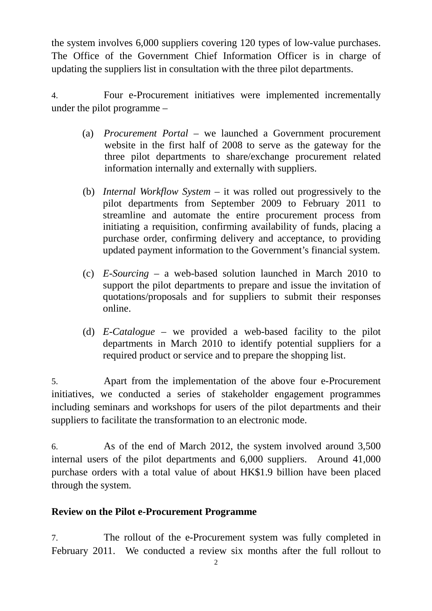the system involves 6,000 suppliers covering 120 types of low-value purchases. The Office of the Government Chief Information Officer is in charge of updating the suppliers list in consultation with the three pilot departments.

4. Four e-Procurement initiatives were implemented incrementally under the pilot programme –

- (a) *Procurement Portal* we launched a Government procurement website in the first half of 2008 to serve as the gateway for the three pilot departments to share/exchange procurement related information internally and externally with suppliers.
- (b) *Internal Workflow System*  it was rolled out progressively to the pilot departments from September 2009 to February 2011 to streamline and automate the entire procurement process from initiating a requisition, confirming availability of funds, placing a purchase order, confirming delivery and acceptance, to providing updated payment information to the Government's financial system.
- (c) *E-Sourcing* a web-based solution launched in March 2010 to support the pilot departments to prepare and issue the invitation of quotations/proposals and for suppliers to submit their responses online.
- (d) *E-Catalogue*  we provided a web-based facility to the pilot departments in March 2010 to identify potential suppliers for a required product or service and to prepare the shopping list.

5. Apart from the implementation of the above four e-Procurement initiatives, we conducted a series of stakeholder engagement programmes including seminars and workshops for users of the pilot departments and their suppliers to facilitate the transformation to an electronic mode.

6. As of the end of March 2012, the system involved around 3,500 internal users of the pilot departments and 6,000 suppliers. Around 41,000 purchase orders with a total value of about HK\$1.9 billion have been placed through the system.

#### **Review on the Pilot e-Procurement Programme**

7. The rollout of the e-Procurement system was fully completed in February 2011. We conducted a review six months after the full rollout to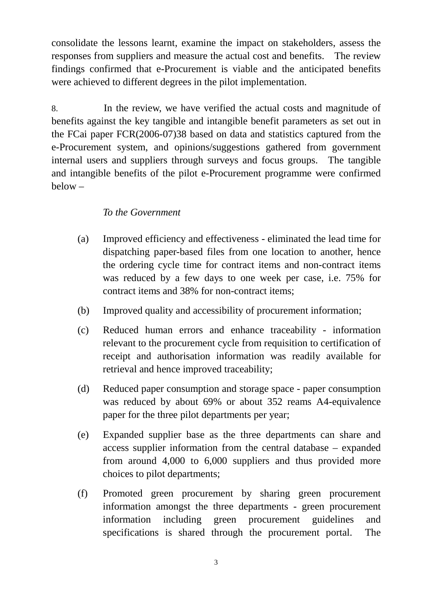consolidate the lessons learnt, examine the impact on stakeholders, assess the responses from suppliers and measure the actual cost and benefits. The review findings confirmed that e-Procurement is viable and the anticipated benefits were achieved to different degrees in the pilot implementation.

8. In the review, we have verified the actual costs and magnitude of benefits against the key tangible and intangible benefit parameters as set out in the FCai paper FCR(2006-07)38 based on data and statistics captured from the e-Procurement system, and opinions/suggestions gathered from government internal users and suppliers through surveys and focus groups. The tangible and intangible benefits of the pilot e-Procurement programme were confirmed below –

### *To the Government*

- (a) Improved efficiency and effectiveness eliminated the lead time for dispatching paper-based files from one location to another, hence the ordering cycle time for contract items and non-contract items was reduced by a few days to one week per case, i.e. 75% for contract items and 38% for non-contract items;
- (b) Improved quality and accessibility of procurement information;
- (c) Reduced human errors and enhance traceability information relevant to the procurement cycle from requisition to certification of receipt and authorisation information was readily available for retrieval and hence improved traceability;
- (d) Reduced paper consumption and storage space paper consumption was reduced by about 69% or about 352 reams A4-equivalence paper for the three pilot departments per year;
- (e) Expanded supplier base as the three departments can share and access supplier information from the central database – expanded from around 4,000 to 6,000 suppliers and thus provided more choices to pilot departments;
- (f) Promoted green procurement by sharing green procurement information amongst the three departments - green procurement information including green procurement guidelines and specifications is shared through the procurement portal. The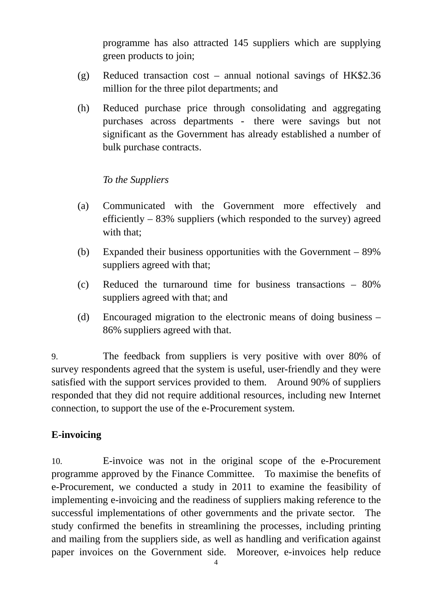programme has also attracted 145 suppliers which are supplying green products to join;

- (g) Reduced transaction cost annual notional savings of HK\$2.36 million for the three pilot departments; and
- (h) Reduced purchase price through consolidating and aggregating purchases across departments - there were savings but not significant as the Government has already established a number of bulk purchase contracts.

#### *To the Suppliers*

- (a) Communicated with the Government more effectively and efficiently – 83% suppliers (which responded to the survey) agreed with that:
- (b) Expanded their business opportunities with the Government 89% suppliers agreed with that;
- (c) Reduced the turnaround time for business transactions 80% suppliers agreed with that; and
- (d) Encouraged migration to the electronic means of doing business 86% suppliers agreed with that.

9. The feedback from suppliers is very positive with over 80% of survey respondents agreed that the system is useful, user-friendly and they were satisfied with the support services provided to them. Around 90% of suppliers responded that they did not require additional resources, including new Internet connection, to support the use of the e-Procurement system.

## **E-invoicing**

10. E-invoice was not in the original scope of the e-Procurement programme approved by the Finance Committee. To maximise the benefits of e-Procurement, we conducted a study in 2011 to examine the feasibility of implementing e-invoicing and the readiness of suppliers making reference to the successful implementations of other governments and the private sector. The study confirmed the benefits in streamlining the processes, including printing and mailing from the suppliers side, as well as handling and verification against paper invoices on the Government side. Moreover, e-invoices help reduce